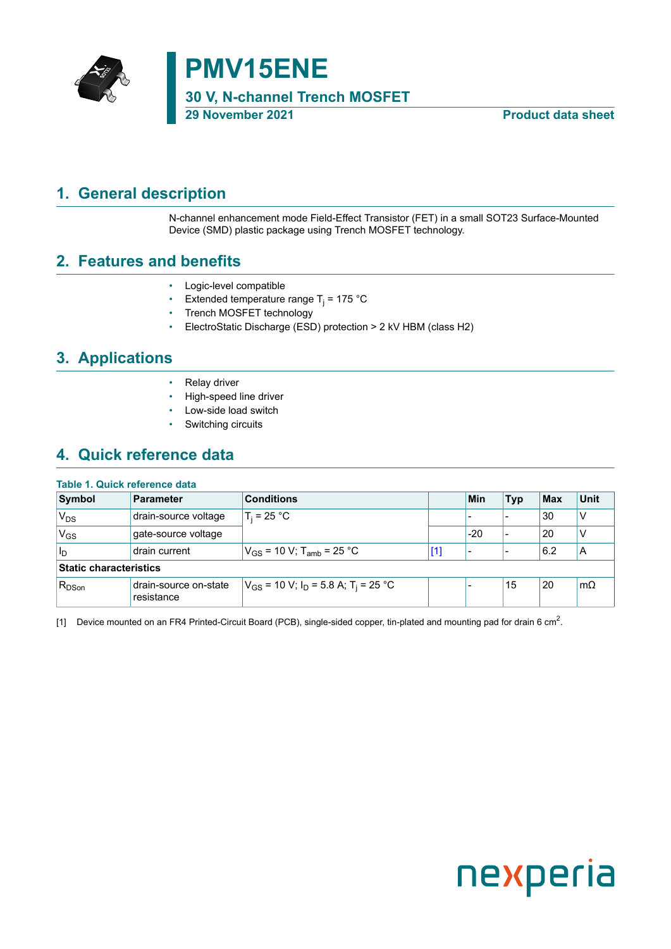

# **PMV15ENE**

**30 V, N-channel Trench MOSFET**

### <span id="page-0-1"></span>**1. General description**

<span id="page-0-0"></span>N-channel enhancement mode Field-Effect Transistor (FET) in a small SOT23 Surface-Mounted Device (SMD) plastic package using Trench MOSFET technology.

### <span id="page-0-2"></span>**2. Features and benefits**

- Logic-level compatible
- Extended temperature range T<sub>j</sub> = 175 °C
- Trench MOSFET technology
- ElectroStatic Discharge (ESD) protection > 2 kV HBM (class H2)

### <span id="page-0-3"></span>**3. Applications**

- Relay driver
- High-speed line driver
- Low-side load switch
- Switching circuits

### <span id="page-0-4"></span>**4. Quick reference data**

#### **Table 1. Quick reference data**

| Symbol                 | <b>Parameter</b>                    | <b>Conditions</b>                                               |       | Min                      | <b>Typ</b>               | <b>Max</b> | <b>Unit</b> |
|------------------------|-------------------------------------|-----------------------------------------------------------------|-------|--------------------------|--------------------------|------------|-------------|
| V <sub>DS</sub>        | drain-source voltage                | $T_i = 25 °C$                                                   |       |                          |                          | 30         |             |
| $V_{GS}$               | gate-source voltage                 |                                                                 |       | $-20$                    | $\overline{\phantom{0}}$ | 20         |             |
| I <sub>D</sub>         | drain current                       | $V_{GS}$ = 10 V; T <sub>amb</sub> = 25 °C                       | $[1]$ | $\overline{\phantom{0}}$ | $\overline{\phantom{0}}$ | 6.2        | A           |
| Static characteristics |                                     |                                                                 |       |                          |                          |            |             |
| $R_{DSon}$             | drain-source on-state<br>resistance | $V_{GS}$ = 10 V; I <sub>D</sub> = 5.8 A; T <sub>i</sub> = 25 °C |       |                          | 15                       | 20         | $m\Omega$   |

[1]  $\,$  Device mounted on an FR4 Printed-Circuit Board (PCB), single-sided copper, tin-plated and mounting pad for drain 6 cm $^2$ .

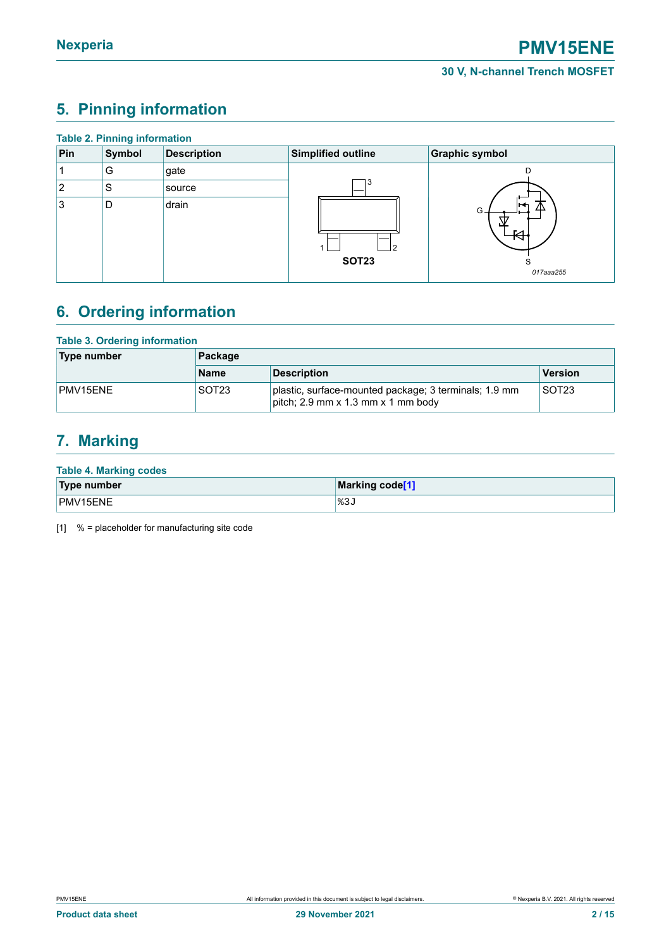# <span id="page-1-1"></span><span id="page-1-0"></span>**5. Pinning information**

| <b>Table 2. Pinning information</b> |        |                    |                           |                                      |  |  |  |  |
|-------------------------------------|--------|--------------------|---------------------------|--------------------------------------|--|--|--|--|
| Pin                                 | Symbol | <b>Description</b> | <b>Simplified outline</b> | <b>Graphic symbol</b>                |  |  |  |  |
|                                     | G      | gate               |                           | D                                    |  |  |  |  |
| 2                                   | S      | source             |                           |                                      |  |  |  |  |
| Ι3                                  | D      | drain              | ິ<br><b>SOT23</b>         | ⊩⊷<br>△<br>G<br>ᡕ᠇<br>5<br>017aaa255 |  |  |  |  |

### <span id="page-1-2"></span>**6. Ordering information**

| <b>Table 3. Ordering information</b> |             |                                                                                             |                   |  |  |  |
|--------------------------------------|-------------|---------------------------------------------------------------------------------------------|-------------------|--|--|--|
| Type number                          | Package     |                                                                                             |                   |  |  |  |
|                                      | <b>Name</b> | <b>Description</b>                                                                          | Version           |  |  |  |
| <b>PMV15ENE</b>                      | SOT23       | plastic, surface-mounted package; 3 terminals; 1.9 mm<br>pitch; 2.9 mm x 1.3 mm x 1 mm body | SOT <sub>23</sub> |  |  |  |

### <span id="page-1-3"></span>**7. Marking**

| Type number     | Marking code <sup>[1]</sup> |
|-----------------|-----------------------------|
| <b>PMV15ENE</b> | %3J                         |

[1] % = placeholder for manufacturing site code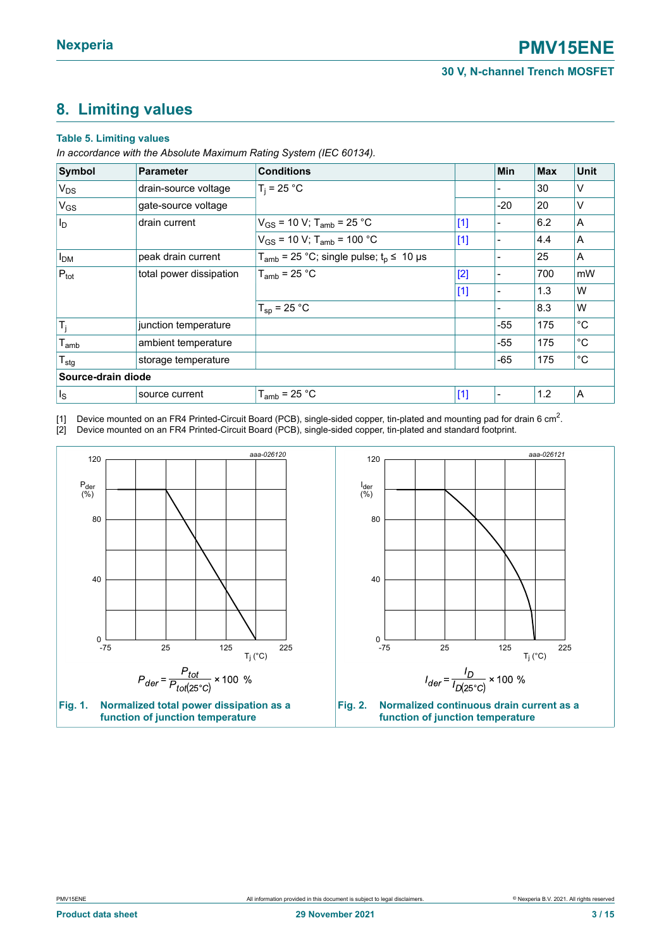### <span id="page-2-1"></span><span id="page-2-0"></span>**8. Limiting values**

#### **Table 5. Limiting values**

*In accordance with the Absolute Maximum Rating System (IEC 60134).*

| Symbol                | <b>Parameter</b>        | <b>Conditions</b>                                                 |       | <b>Min</b> | <b>Max</b> | <b>Unit</b> |
|-----------------------|-------------------------|-------------------------------------------------------------------|-------|------------|------------|-------------|
| $V_{DS}$              | drain-source voltage    | $T_i = 25 °C$                                                     |       |            | 30         | ٧           |
| <b>V<sub>GS</sub></b> | gate-source voltage     |                                                                   |       | $-20$      | 20         | ٧           |
| $ I_{\mathsf{D}} $    | drain current           | $V_{GS}$ = 10 V; T <sub>amb</sub> = 25 °C                         | $[1]$ |            | 6.2        | A           |
|                       |                         | $V_{GS}$ = 10 V; T <sub>amb</sub> = 100 °C                        | $[1]$ |            | 4.4        | A           |
| I <sub>DM</sub>       | peak drain current      | $T_{amb}$ = 25 °C; single pulse; $t_p \le 10 \text{ }\mu\text{s}$ |       |            | 25         | A           |
| $P_{\text{tot}}$      | total power dissipation | $T_{amb}$ = 25 °C                                                 | [2]   |            | 700        | mW          |
|                       |                         |                                                                   | $[1]$ |            | 1.3        | W           |
|                       |                         | $T_{sp}$ = 25 °C                                                  |       |            | 8.3        | W           |
| $T_j$                 | junction temperature    |                                                                   |       | $-55$      | 175        | °C          |
| $T_{amb}$             | ambient temperature     |                                                                   |       | $-55$      | 175        | °C          |
| $T_{\text{stg}}$      | storage temperature     |                                                                   |       | $-65$      | 175        | $^{\circ}C$ |
| Source-drain diode    |                         |                                                                   |       |            |            |             |
| $\vert$ <sub>s</sub>  | source current          | $T_{amb}$ = 25 °C                                                 | $[1]$ |            | 1.2        | A           |

[1]  $\,$  Device mounted on an FR4 Printed-Circuit Board (PCB), single-sided copper, tin-plated and mounting pad for drain 6 cm $^2$ . [2] Device mounted on an FR4 Printed-Circuit Board (PCB), single-sided copper, tin-plated and standard footprint.

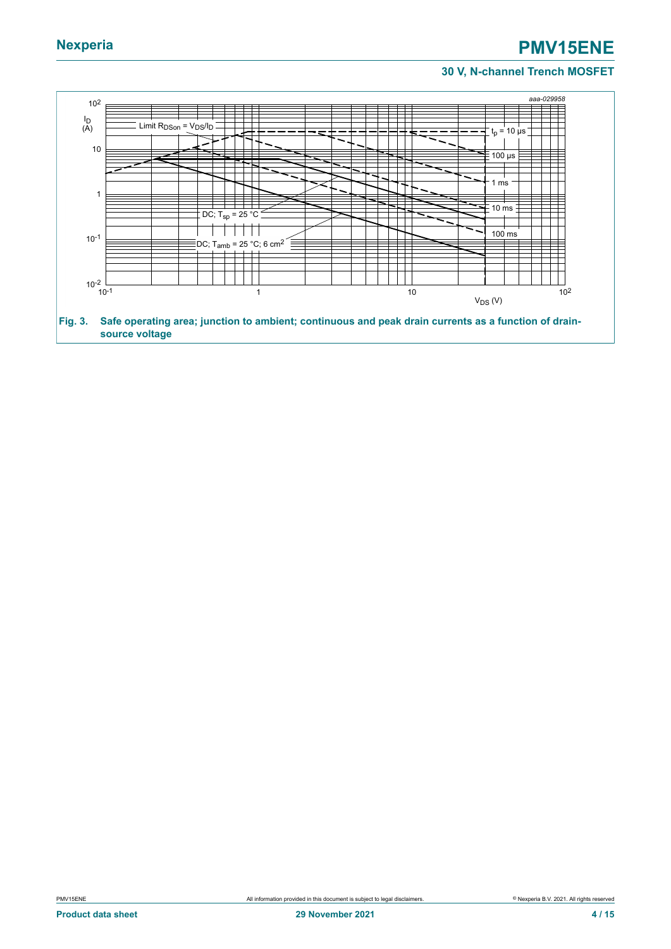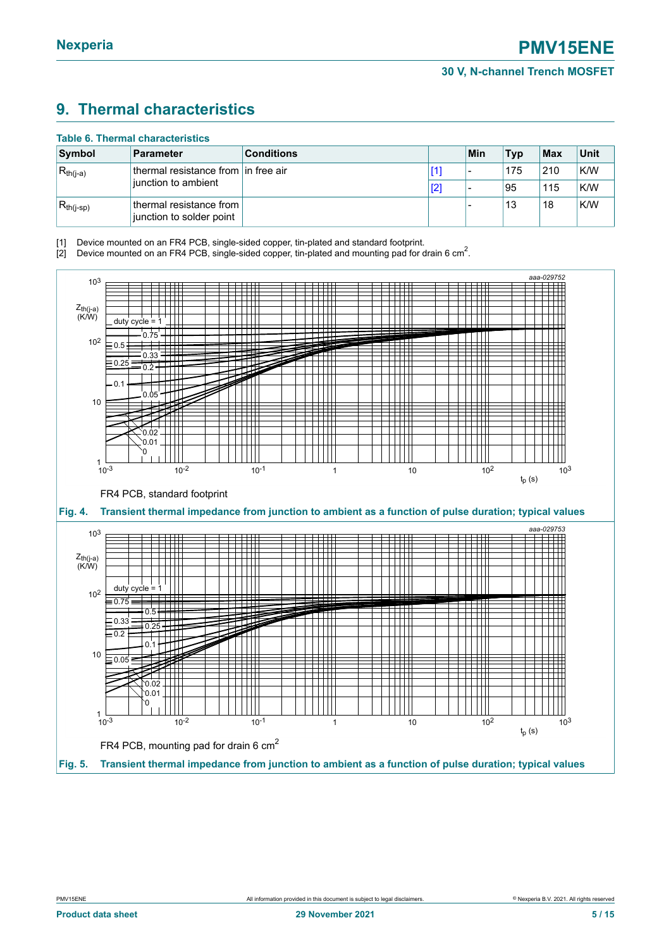### <span id="page-4-1"></span><span id="page-4-0"></span>**9. Thermal characteristics**

| <b>Table 6. Thermal characteristics</b> |                                                     |                   |  |     |            |         |             |  |
|-----------------------------------------|-----------------------------------------------------|-------------------|--|-----|------------|---------|-------------|--|
| Symbol                                  | <b>Parameter</b>                                    | <b>Conditions</b> |  | Min | <b>Typ</b> | $ $ Max | <b>Unit</b> |  |
| $ R_{th(j-a)}$                          | thermal resistance from in free air                 |                   |  |     | 175        | 210     | K/W         |  |
| junction to ambient                     |                                                     | <u>'[2</u>        |  | 95  | 115        | K/W     |             |  |
| $R_{th(i-sp)}$                          | thermal resistance from<br>junction to solder point |                   |  |     | 13         | 18      | K/W         |  |

[1] Device mounted on an FR4 PCB, single-sided copper, tin-plated and standard footprint.

[2] Device mounted on an FR4 PCB, single-sided copper, tin-plated and mounting pad for drain 6 cm<sup>2</sup>.

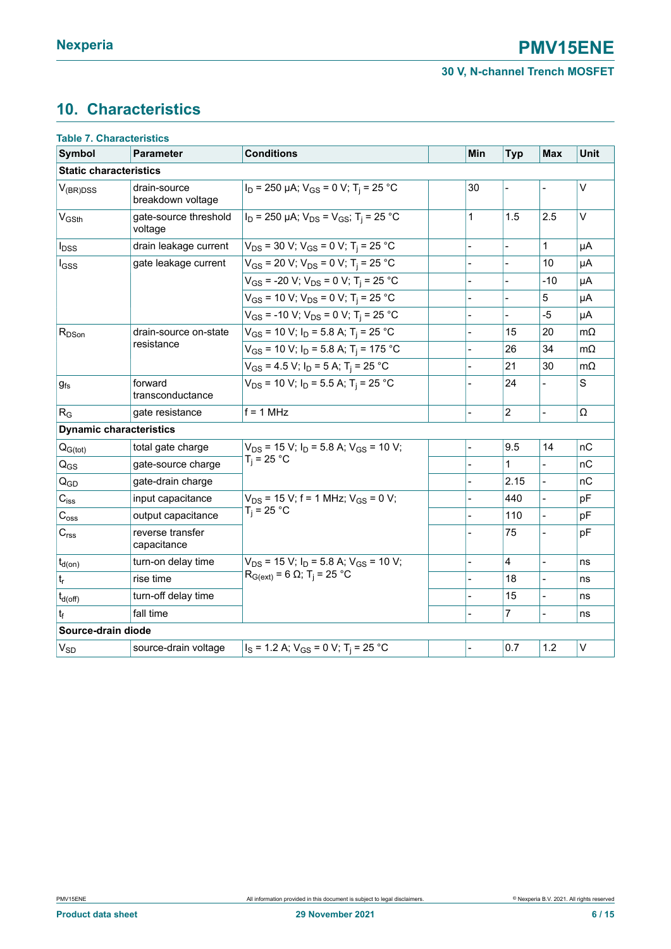# <span id="page-5-0"></span>**10. Characteristics**

| <b>Table 7. Characteristics</b> |                                   |                                                                  |                |                |                |           |
|---------------------------------|-----------------------------------|------------------------------------------------------------------|----------------|----------------|----------------|-----------|
| Symbol                          | <b>Parameter</b>                  | <b>Conditions</b>                                                | Min            | <b>Typ</b>     | Max            | Unit      |
| <b>Static characteristics</b>   |                                   |                                                                  |                |                |                |           |
| $V_{(BR)DSS}$                   | drain-source<br>breakdown voltage | $I_D$ = 250 µA; $V_{GS}$ = 0 V; T <sub>i</sub> = 25 °C           | 30             |                |                | V         |
| V <sub>GSth</sub>               | gate-source threshold<br>voltage  | $I_D$ = 250 µA; $V_{DS}$ = $V_{GS}$ ; T <sub>i</sub> = 25 °C     | 1              | 1.5            | 2.5            | $\vee$    |
| $I_{DSS}$                       | drain leakage current             | $V_{DS}$ = 30 V; V <sub>GS</sub> = 0 V; T <sub>i</sub> = 25 °C   |                |                | $\mathbf{1}$   | μA        |
| $I_{GSS}$                       | gate leakage current              | $V_{GS}$ = 20 V; $V_{DS}$ = 0 V; T <sub>j</sub> = 25 °C          |                |                | 10             | μA        |
|                                 |                                   | $V_{GS}$ = -20 V; $V_{DS}$ = 0 V; T <sub>i</sub> = 25 °C         |                |                | -10            | μA        |
|                                 |                                   | $V_{GS}$ = 10 V; V <sub>DS</sub> = 0 V; T <sub>j</sub> = 25 °C   |                |                | 5              | μA        |
|                                 |                                   | $V_{GS}$ = -10 V; $V_{DS}$ = 0 V; T <sub>i</sub> = 25 °C         |                |                | $-5$           | μA        |
| $R_{DSon}$                      | drain-source on-state             | $V_{GS}$ = 10 V; $I_D$ = 5.8 A; T <sub>i</sub> = 25 °C           |                | 15             | 20             | $m\Omega$ |
|                                 | resistance                        | $V_{GS}$ = 10 V; $I_D$ = 5.8 A; T <sub>i</sub> = 175 °C          |                | 26             | 34             | $m\Omega$ |
|                                 |                                   | $V_{GS}$ = 4.5 V; I <sub>D</sub> = 5 A; T <sub>i</sub> = 25 °C   |                | 21             | 30             | $m\Omega$ |
| $g_{fs}$                        | forward<br>transconductance       | $V_{DS}$ = 10 V; $I_D$ = 5.5 A; T <sub>i</sub> = 25 °C           |                | 24             |                | S         |
| $R_G$                           | gate resistance                   | $f = 1$ MHz                                                      | $\overline{a}$ | $\overline{2}$ | $\overline{a}$ | Ω         |
|                                 | <b>Dynamic characteristics</b>    |                                                                  |                |                |                |           |
| $Q_{G(tot)}$                    | total gate charge                 | $V_{DS}$ = 15 V; $I_D$ = 5.8 A; $V_{GS}$ = 10 V;                 |                | 9.5            | 14             | nC        |
| $Q_{GS}$                        | gate-source charge                | $T_i = 25 °C$                                                    |                | 1              |                | nC        |
| $Q_{GD}$                        | gate-drain charge                 |                                                                  |                | 2.15           | $\overline{a}$ | nС        |
| C <sub>iss</sub>                | input capacitance                 | $V_{DS}$ = 15 V; f = 1 MHz; $V_{GS}$ = 0 V;                      |                | 440            |                | pF        |
| $\mathrm{C_{oss}}$              | output capacitance                | $T_i = 25 °C$                                                    |                | 110            |                | pF        |
| C <sub>rss</sub>                | reverse transfer<br>capacitance   |                                                                  |                | 75             |                | pF        |
| $t_{d(on)}$                     | turn-on delay time                | $V_{DS}$ = 15 V; I <sub>D</sub> = 5.8 A; V <sub>GS</sub> = 10 V; |                | 4              | $\overline{a}$ | ns        |
| $t_{\sf r}$                     | rise time                         | $R_{G(ext)} = 6 \Omega$ ; T <sub>i</sub> = 25 °C                 |                | 18             |                | ns        |
| $t_{d(\text{off})}$             | turn-off delay time               |                                                                  |                | 15             | $\overline{a}$ | ns        |
| $t_{\rm f}$                     | fall time                         |                                                                  | $\overline{a}$ | 7              | $\overline{a}$ | ns        |
| Source-drain diode              |                                   |                                                                  |                |                |                |           |
| V <sub>SD</sub>                 | source-drain voltage              | $I_S = 1.2$ A; $V_{GS} = 0$ V; T <sub>i</sub> = 25 °C            |                | 0.7            | 1.2            | V         |
|                                 |                                   |                                                                  |                |                |                |           |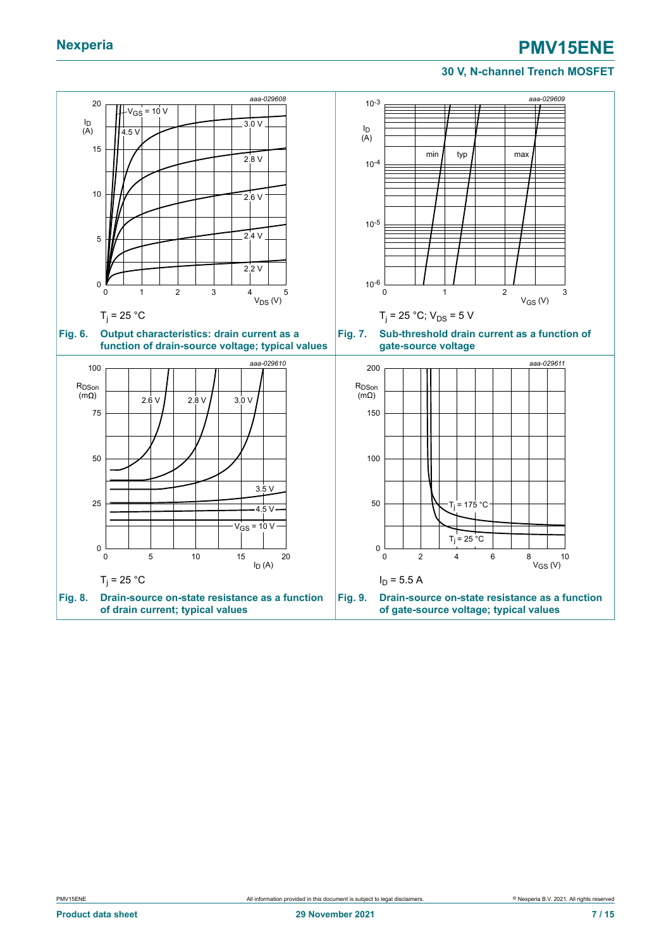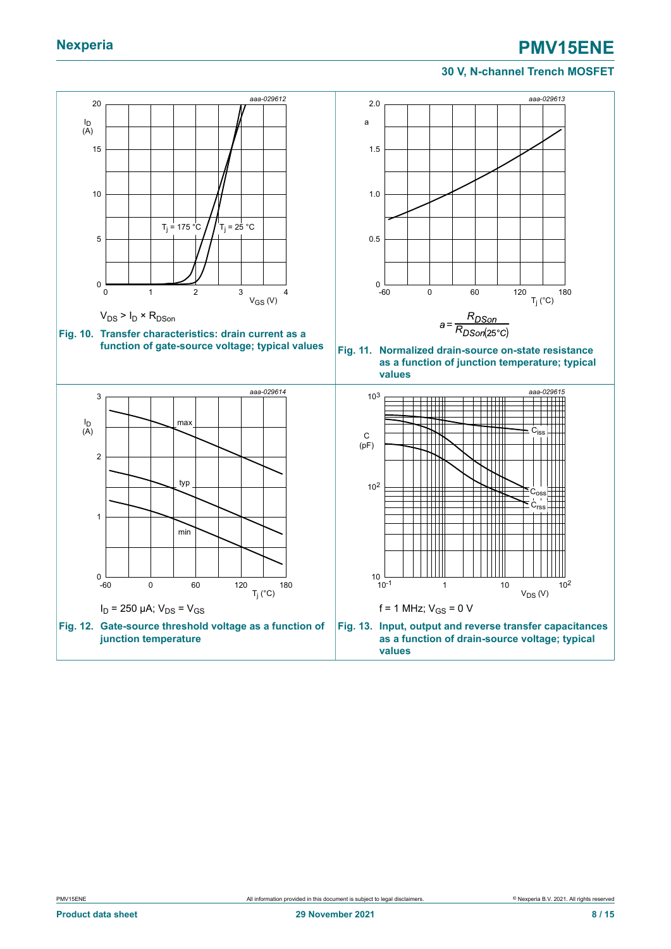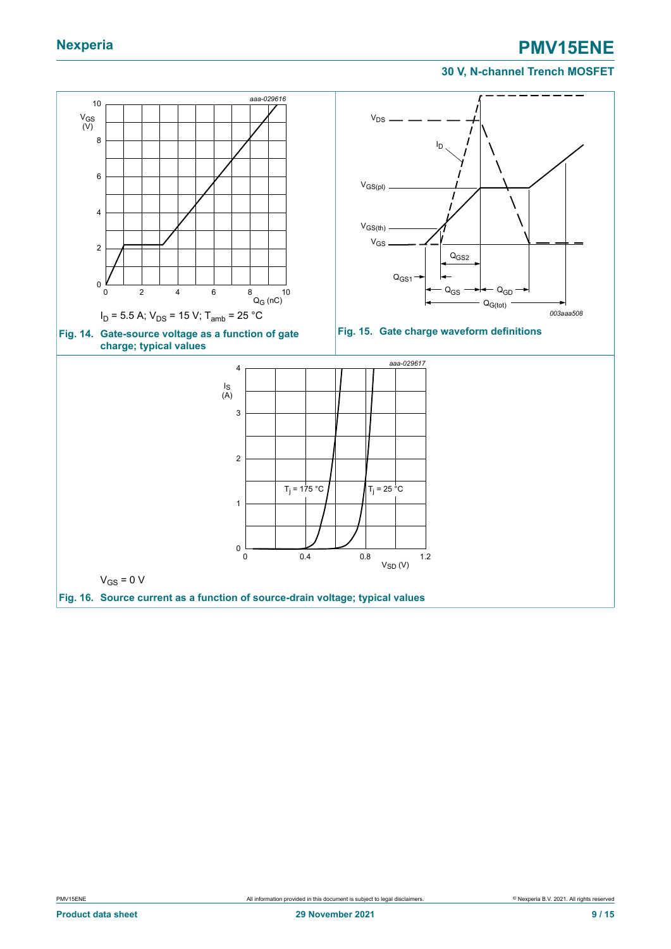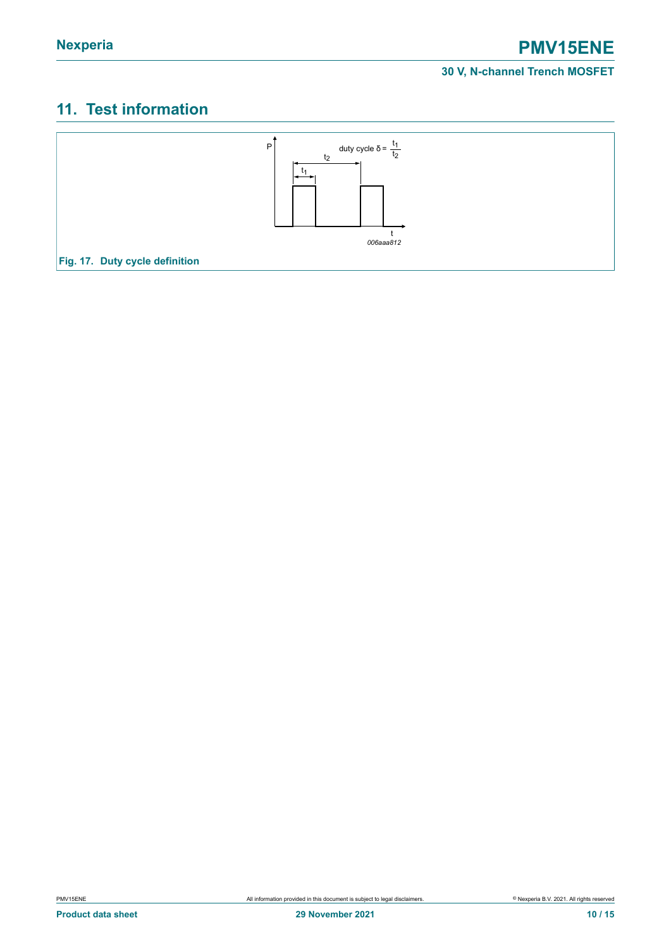# <span id="page-9-0"></span>**11. Test information**

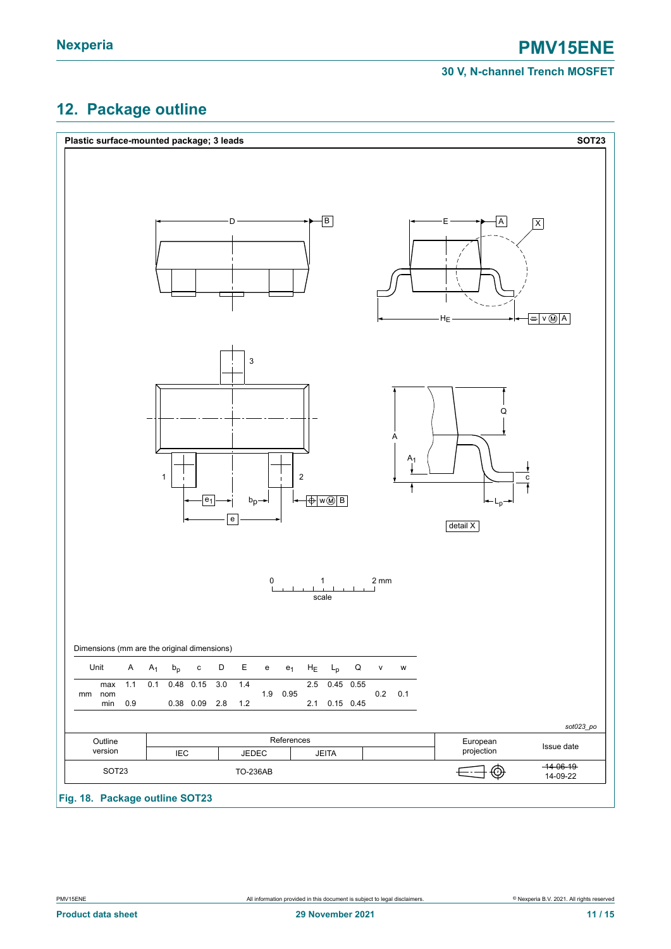### <span id="page-10-0"></span>**12. Package outline**

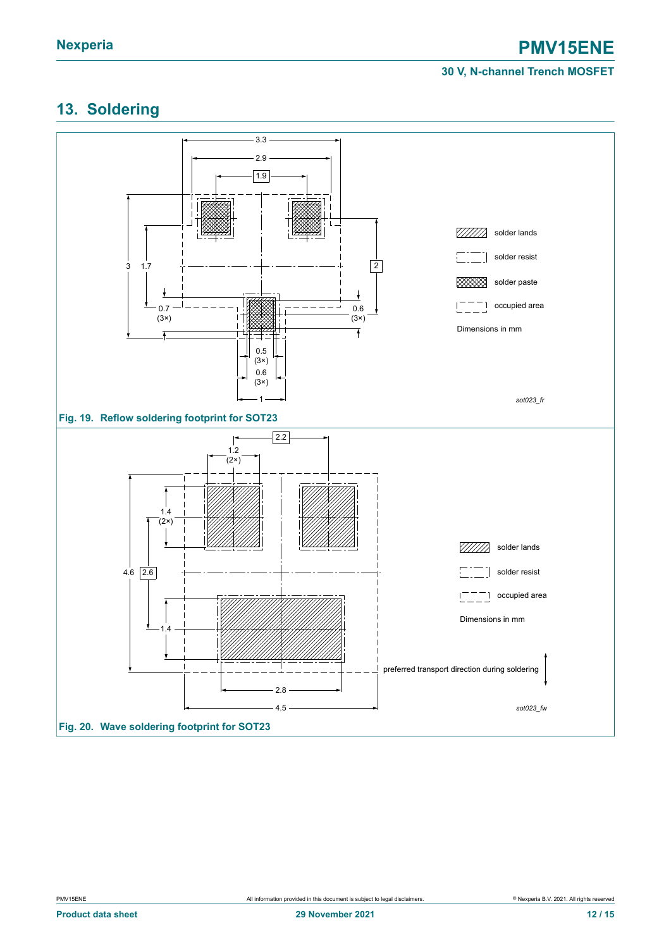# <span id="page-11-0"></span>**13. Soldering**

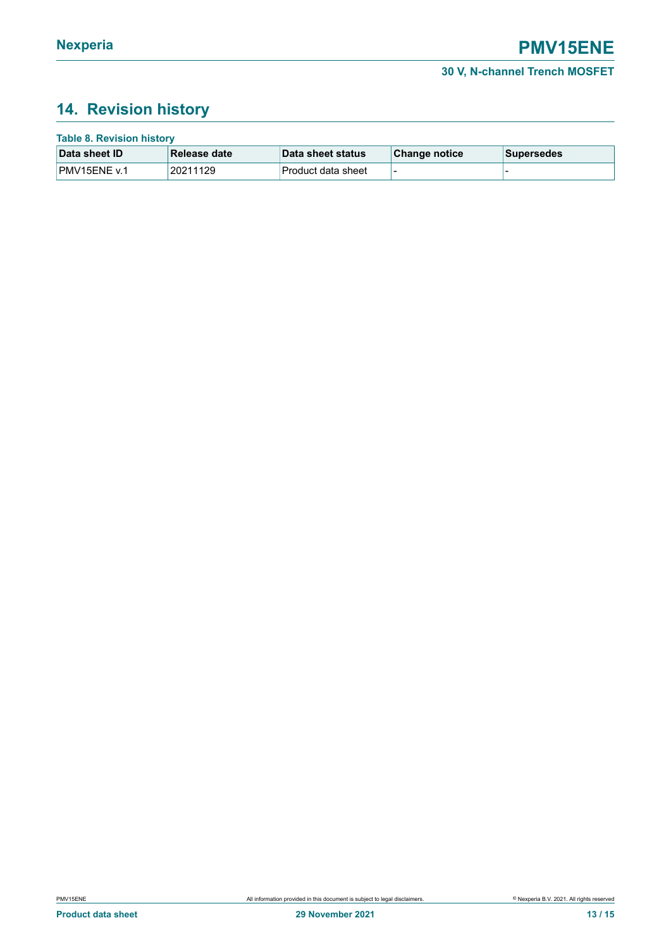# <span id="page-12-0"></span>**14. Revision history**

| <b>Table 8. Revision history</b> |               |                     |               |             |  |  |
|----------------------------------|---------------|---------------------|---------------|-------------|--|--|
| Data sheet ID                    | ∣Release date | ⊺Data sheet status  | Change notice | ∣Supersedes |  |  |
| PMV15ENE v.1                     | 20211129      | ⊺Product data sheet |               |             |  |  |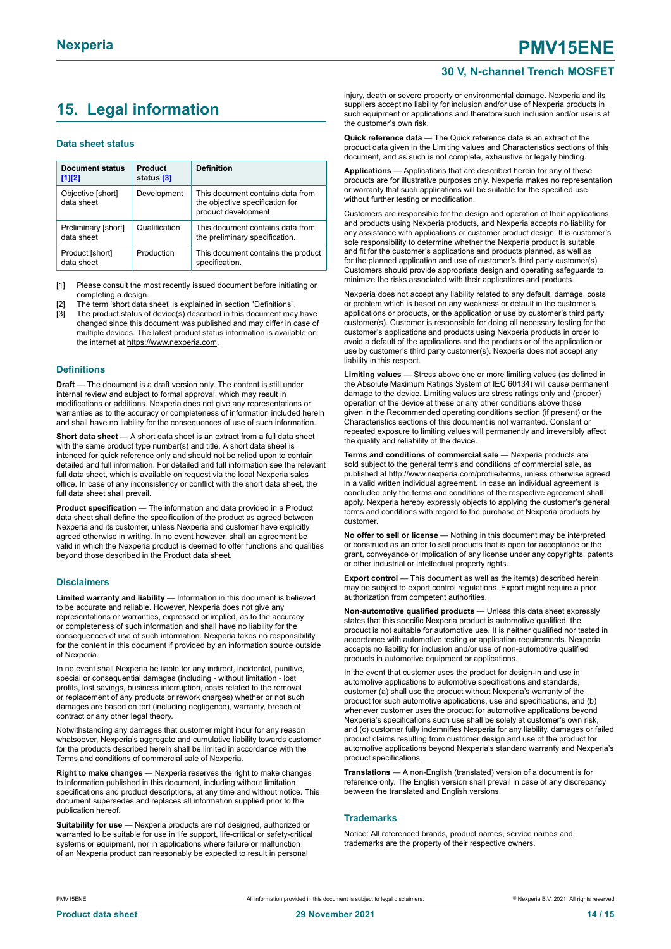### <span id="page-13-0"></span>**15. Legal information**

#### **Data sheet status**

| Document status<br>$[1]$ [2]      | <b>Product</b><br>status [3] | <b>Definition</b>                                                                           |
|-----------------------------------|------------------------------|---------------------------------------------------------------------------------------------|
| Objective [short]<br>data sheet   | Development                  | This document contains data from<br>the objective specification for<br>product development. |
| Preliminary [short]<br>data sheet | Qualification                | This document contains data from<br>the preliminary specification.                          |
| Product [short]<br>data sheet     | Production                   | This document contains the product<br>specification.                                        |

[1] Please consult the most recently issued document before initiating or completing a design.

- The term 'short data sheet' is explained in section "Definitions".
- [3] The product status of device(s) described in this document may have changed since this document was published and may differ in case of multiple devices. The latest product status information is available on the internet at [https://www.nexperia.com.](https://www.nexperia.com)

#### **Definitions**

**Draft** — The document is a draft version only. The content is still under internal review and subject to formal approval, which may result in modifications or additions. Nexperia does not give any representations or warranties as to the accuracy or completeness of information included herein and shall have no liability for the consequences of use of such information.

**Short data sheet** — A short data sheet is an extract from a full data sheet with the same product type number(s) and title. A short data sheet is intended for quick reference only and should not be relied upon to contain detailed and full information. For detailed and full information see the relevant full data sheet, which is available on request via the local Nexperia sales office. In case of any inconsistency or conflict with the short data sheet, the full data sheet shall prevail.

**Product specification** — The information and data provided in a Product data sheet shall define the specification of the product as agreed between Nexperia and its customer, unless Nexperia and customer have explicitly agreed otherwise in writing. In no event however, shall an agreement be valid in which the Nexperia product is deemed to offer functions and qualities beyond those described in the Product data sheet.

#### **Disclaimers**

**Limited warranty and liability** — Information in this document is believed to be accurate and reliable. However, Nexperia does not give any representations or warranties, expressed or implied, as to the accuracy or completeness of such information and shall have no liability for the consequences of use of such information. Nexperia takes no responsibility for the content in this document if provided by an information source outside of Nexperia.

In no event shall Nexperia be liable for any indirect, incidental, punitive, special or consequential damages (including - without limitation - lost profits, lost savings, business interruption, costs related to the removal or replacement of any products or rework charges) whether or not such damages are based on tort (including negligence), warranty, breach of contract or any other legal theory.

Notwithstanding any damages that customer might incur for any reason whatsoever, Nexperia's aggregate and cumulative liability towards customer for the products described herein shall be limited in accordance with the Terms and conditions of commercial sale of Nexperia.

**Right to make changes** — Nexperia reserves the right to make changes to information published in this document, including without limitation specifications and product descriptions, at any time and without notice. This document supersedes and replaces all information supplied prior to the publication hereof.

**Suitability for use** — Nexperia products are not designed, authorized or warranted to be suitable for use in life support, life-critical or safety-critical systems or equipment, nor in applications where failure or malfunction of an Nexperia product can reasonably be expected to result in personal

injury, death or severe property or environmental damage. Nexperia and its suppliers accept no liability for inclusion and/or use of Nexperia products in such equipment or applications and therefore such inclusion and/or use is at the customer's own risk.

**Quick reference data** — The Quick reference data is an extract of the product data given in the Limiting values and Characteristics sections of this document, and as such is not complete, exhaustive or legally binding.

**Applications** — Applications that are described herein for any of these products are for illustrative purposes only. Nexperia makes no representation or warranty that such applications will be suitable for the specified use without further testing or modification.

Customers are responsible for the design and operation of their applications and products using Nexperia products, and Nexperia accepts no liability for any assistance with applications or customer product design. It is customer's sole responsibility to determine whether the Nexperia product is suitable and fit for the customer's applications and products planned, as well as for the planned application and use of customer's third party customer(s). Customers should provide appropriate design and operating safeguards to minimize the risks associated with their applications and products.

Nexperia does not accept any liability related to any default, damage, costs or problem which is based on any weakness or default in the customer's applications or products, or the application or use by customer's third party customer(s). Customer is responsible for doing all necessary testing for the customer's applications and products using Nexperia products in order to avoid a default of the applications and the products or of the application or use by customer's third party customer(s). Nexperia does not accept any liability in this respect.

**Limiting values** — Stress above one or more limiting values (as defined in the Absolute Maximum Ratings System of IEC 60134) will cause permanent damage to the device. Limiting values are stress ratings only and (proper) operation of the device at these or any other conditions above those given in the Recommended operating conditions section (if present) or the Characteristics sections of this document is not warranted. Constant or repeated exposure to limiting values will permanently and irreversibly affect the quality and reliability of the device.

**Terms and conditions of commercial sale** — Nexperia products are sold subject to the general terms and conditions of commercial sale, as published at [http://www.nexperia.com/profile/terms,](http://www.nexperia.com/profile/terms) unless otherwise agreed in a valid written individual agreement. In case an individual agreement is concluded only the terms and conditions of the respective agreement shall apply. Nexperia hereby expressly objects to applying the customer's general terms and conditions with regard to the purchase of Nexperia products by customer.

**No offer to sell or license** — Nothing in this document may be interpreted or construed as an offer to sell products that is open for acceptance or the grant, conveyance or implication of any license under any copyrights, patents or other industrial or intellectual property rights.

**Export control** — This document as well as the item(s) described herein may be subject to export control regulations. Export might require a prior authorization from competent authorities.

**Non-automotive qualified products** — Unless this data sheet expressly states that this specific Nexperia product is automotive qualified, the product is not suitable for automotive use. It is neither qualified nor tested in accordance with automotive testing or application requirements. Nexperia accepts no liability for inclusion and/or use of non-automotive qualified products in automotive equipment or applications.

In the event that customer uses the product for design-in and use in automotive applications to automotive specifications and standards, customer (a) shall use the product without Nexperia's warranty of the product for such automotive applications, use and specifications, and (b) whenever customer uses the product for automotive applications beyond Nexperia's specifications such use shall be solely at customer's own risk, and (c) customer fully indemnifies Nexperia for any liability, damages or failed product claims resulting from customer design and use of the product for automotive applications beyond Nexperia's standard warranty and Nexperia's product specifications.

**Translations** — A non-English (translated) version of a document is for reference only. The English version shall prevail in case of any discrepancy between the translated and English versions.

#### **Trademarks**

Notice: All referenced brands, product names, service names and trademarks are the property of their respective owners.